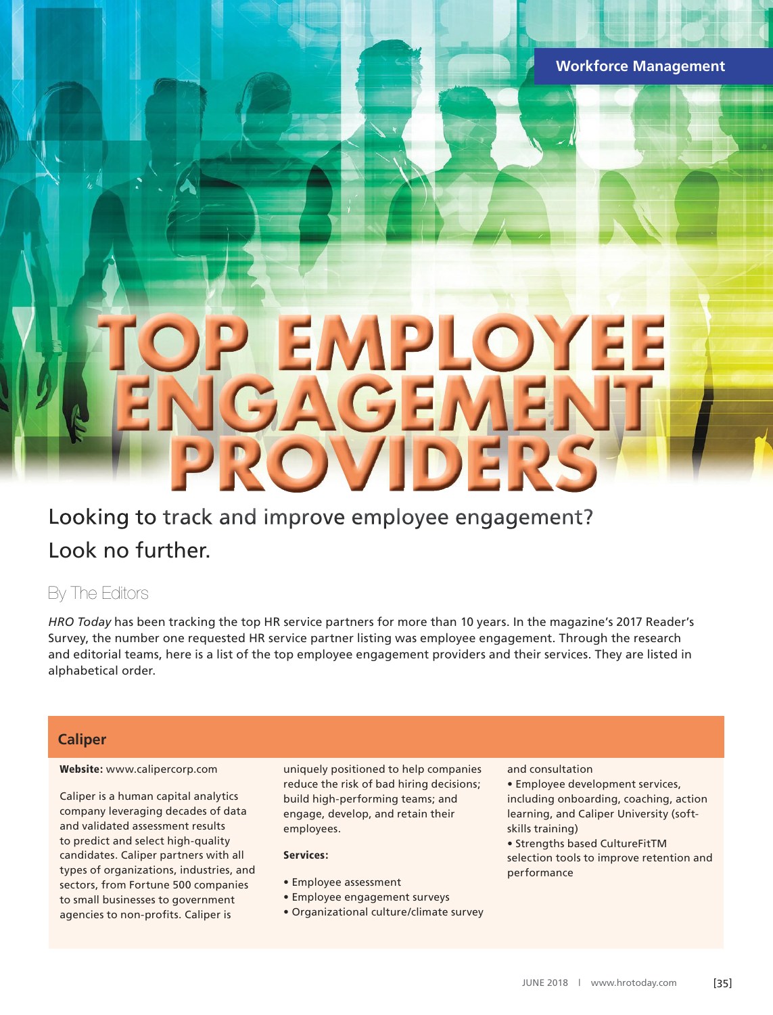# **TOP EMPLOYEE ENGAGEMENT PROVIDERS**

# L Looking to track and improve employee engagement? Look no further.

## By The Editors

*HRO Today* has been tracking the top HR service partners for more than 10 years. In the magazine's 2017 Reader's Survey, the number one requested HR service partner listing was employee engagement. Through the research and editorial teams, here is a list of the top employee engagement providers and their services. They are listed in alphabetical order.

# **California**

### Website: www.calipercorp.com

Caliper is a human capital analytics company leveraging decades of data and validated assessment results to predict and select high-quality candidates. Caliper partners with all types of organizations, industries, and sectors, from Fortune 500 companies to small businesses to government agencies to non-profits. Caliper is

uniquely positioned to help companies reduce the risk of bad hiring decisions; build high-performing teams; and engage, develop, and retain their employees.

### Services:

- Employee assessment
- Employee engagement surveys
- Organizational culture/climate survey

### and consultation

• Employee development services, including onboarding, coaching, action learning, and Caliper University (softskills training)

• Strengths based CultureFitTM selection tools to improve retention and performance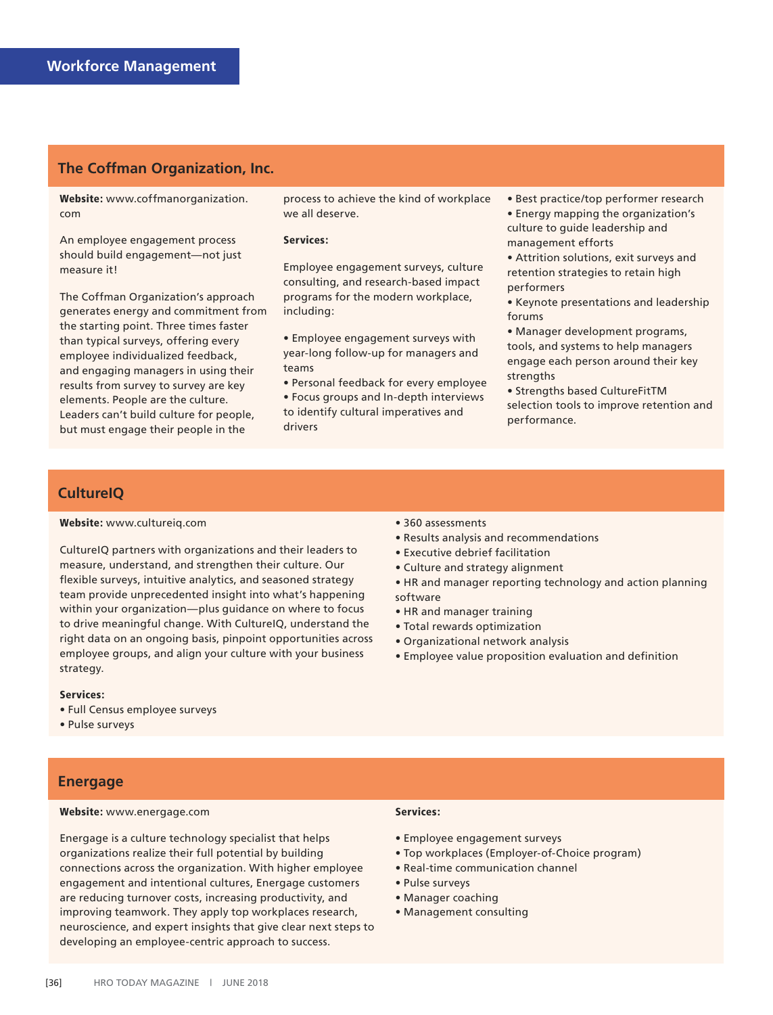### **The Coffman Organization, Inc.**

Website: www.coffmanorganization. com

An employee engagement process should build engagement—not just measure it!

The Coffman Organization's approach generates energy and commitment from the starting point. Three times faster than typical surveys, offering every employee individualized feedback, and engaging managers in using their results from survey to survey are key elements. People are the culture. Leaders can't build culture for people, but must engage their people in the

process to achieve the kind of workplace we all deserve.

### Services:

Employee engagement surveys, culture consulting, and research-based impact programs for the modern workplace, including:

• Employee engagement surveys with year-long follow-up for managers and teams

• Personal feedback for every employee • Focus groups and In-depth interviews to identify cultural imperatives and drivers

• Best practice/top performer research

• Energy mapping the organization's culture to guide leadership and management efforts

• Attrition solutions, exit surveys and retention strategies to retain high performers

• Keynote presentations and leadership forums

• Manager development programs, tools, and systems to help managers engage each person around their key strengths

• Strengths based CultureFitTM selection tools to improve retention and performance.

### **CultureIQ**

### Website: www.cultureiq.com

CultureIQ partners with organizations and their leaders to measure, understand, and strengthen their culture. Our flexible surveys, intuitive analytics, and seasoned strategy team provide unprecedented insight into what's happening within your organization—plus guidance on where to focus to drive meaningful change. With CultureIQ, understand the right data on an ongoing basis, pinpoint opportunities across employee groups, and align your culture with your business strategy.

### Services:

- Full Census employee surveys
- Pulse surveys

### **Energage**

### Website: www.energage.com

Energage is a culture technology specialist that helps organizations realize their full potential by building connections across the organization. With higher employee engagement and intentional cultures, Energage customers are reducing turnover costs, increasing productivity, and improving teamwork. They apply top workplaces research, neuroscience, and expert insights that give clear next steps to developing an employee-centric approach to success.

#### • 360 assessments

- Results analysis and recommendations
- Executive debrief facilitation
- Culture and strategy alignment
- HR and manager reporting technology and action planning software
- HR and manager training
- Total rewards optimization
- Organizational network analysis
- Employee value proposition evaluation and definition

### Services:

- Employee engagement surveys
- Top workplaces (Employer-of-Choice program)
- Real-time communication channel
- Pulse surveys
- Manager coaching
- Management consulting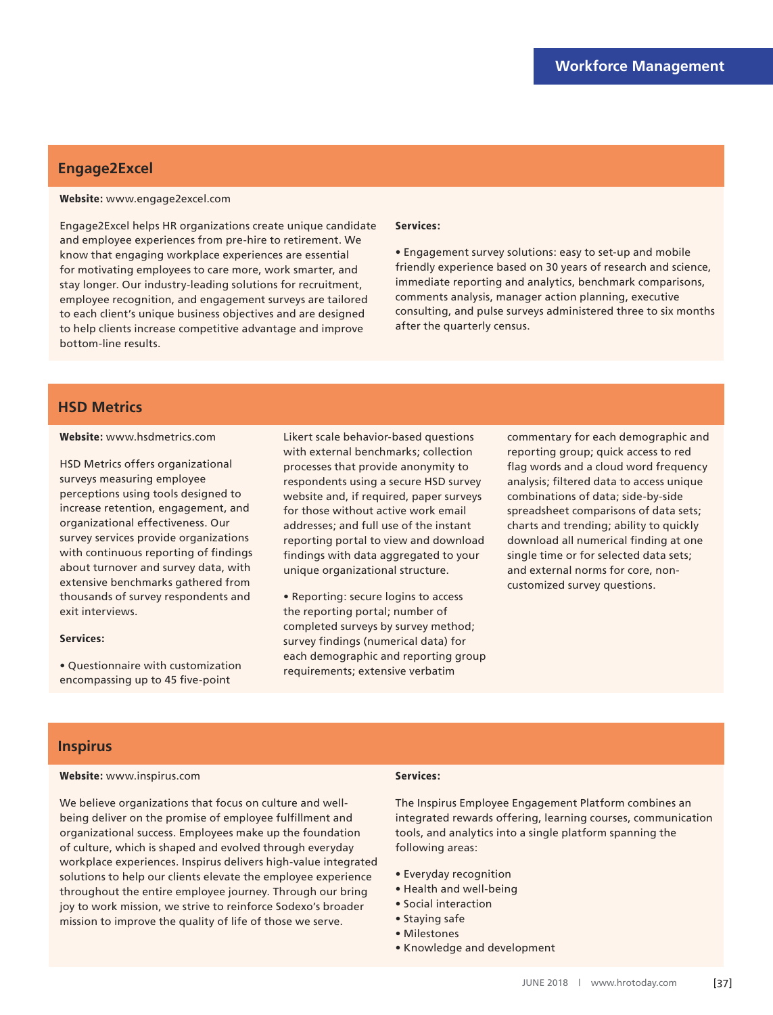# **Engage2Excel**

### Website: www.engage2excel.com

Engage2Excel helps HR organizations create unique candidate and employee experiences from pre-hire to retirement. We know that engaging workplace experiences are essential for motivating employees to care more, work smarter, and stay longer. Our industry-leading solutions for recruitment, employee recognition, and engagement surveys are tailored to each client's unique business objectives and are designed to help clients increase competitive advantage and improve bottom-line results.

#### Services:

• Engagement survey solutions: easy to set-up and mobile friendly experience based on 30 years of research and science, immediate reporting and analytics, benchmark comparisons, comments analysis, manager action planning, executive consulting, and pulse surveys administered three to six months after the quarterly census.

### **HSD Metrics HSD Metrics**

#### Website: www.hsdmetrics.com

HSD Metrics offers organizational surveys measuring employee perceptions using tools designed to increase retention, engagement, and organizational effectiveness. Our survey services provide organizations with continuous reporting of findings about turnover and survey data, with extensive benchmarks gathered from thousands of survey respondents and exit interviews.

#### Services:

• Questionnaire with customization encompassing up to 45 five-point

Likert scale behavior-based questions with external benchmarks; collection processes that provide anonymity to respondents using a secure HSD survey website and, if required, paper surveys for those without active work email addresses; and full use of the instant reporting portal to view and download findings with data aggregated to your unique organizational structure.

• Reporting: secure logins to access the reporting portal; number of completed surveys by survey method; survey findings (numerical data) for each demographic and reporting group requirements; extensive verbatim

commentary for each demographic and reporting group; quick access to red flag words and a cloud word frequency analysis; filtered data to access unique combinations of data; side-by-side spreadsheet comparisons of data sets; charts and trending; ability to quickly download all numerical finding at one single time or for selected data sets; and external norms for core, noncustomized survey questions.

# **Inspirus**

### Website: www.inspirus.com

### Services:

We believe organizations that focus on culture and wellbeing deliver on the promise of employee fulfillment and organizational success. Employees make up the foundation of culture, which is shaped and evolved through everyday workplace experiences. Inspirus delivers high-value integrated solutions to help our clients elevate the employee experience throughout the entire employee journey. Through our bring joy to work mission, we strive to reinforce Sodexo's broader mission to improve the quality of life of those we serve.

The Inspirus Employee Engagement Platform combines an integrated rewards offering, learning courses, communication tools, and analytics into a single platform spanning the following areas:

- Everyday recognition
- Health and well-being
- Social interaction
- Staying safe
- Milestones
- Knowledge and development